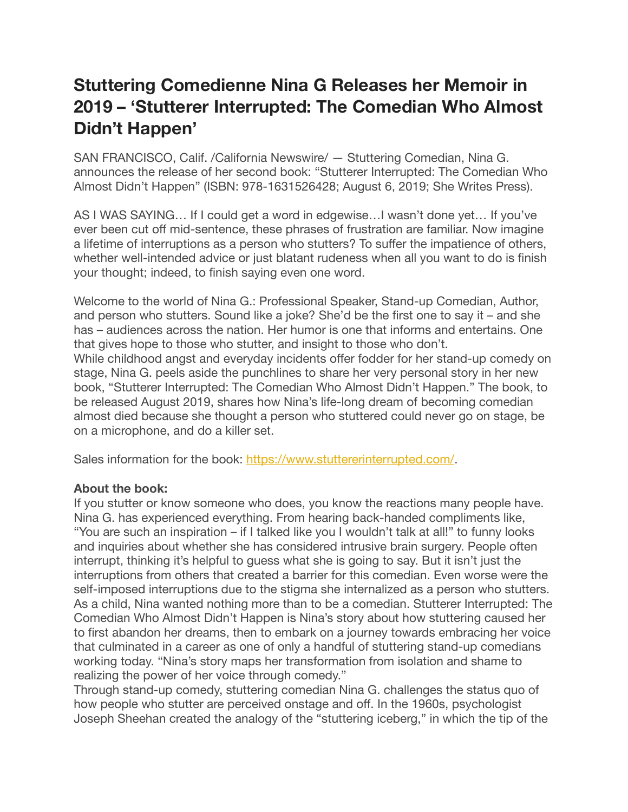## **Stuttering Comedienne Nina G Releases her Memoir in 2019 – 'Stutterer Interrupted: The Comedian Who Almost Didn't Happen'**

SAN FRANCISCO, Calif. /California Newswire/ — Stuttering Comedian, Nina G. announces the release of her second book: "Stutterer Interrupted: The Comedian Who Almost Didn't Happen" (ISBN: 978-1631526428; August 6, 2019; She Writes Press).

AS I WAS SAYING… If I could get a word in edgewise…I wasn't done yet… If you've ever been cut off mid-sentence, these phrases of frustration are familiar. Now imagine a lifetime of interruptions as a person who stutters? To suffer the impatience of others, whether well-intended advice or just blatant rudeness when all you want to do is finish your thought; indeed, to finish saying even one word.

Welcome to the world of Nina G.: Professional Speaker, Stand-up Comedian, Author, and person who stutters. Sound like a joke? She'd be the first one to say it – and she has – audiences across the nation. Her humor is one that informs and entertains. One that gives hope to those who stutter, and insight to those who don't. While childhood angst and everyday incidents offer fodder for her stand-up comedy on stage, Nina G. peels aside the punchlines to share her very personal story in her new book, "Stutterer Interrupted: The Comedian Who Almost Didn't Happen." The book, to be released August 2019, shares how Nina's life-long dream of becoming comedian almost died because she thought a person who stuttered could never go on stage, be on a microphone, and do a killer set.

Sales information for the book: <https://www.stuttererinterrupted.com/>.

## **About the book:**

If you stutter or know someone who does, you know the reactions many people have. Nina G. has experienced everything. From hearing back-handed compliments like, "You are such an inspiration – if I talked like you I wouldn't talk at all!" to funny looks and inquiries about whether she has considered intrusive brain surgery. People often interrupt, thinking it's helpful to guess what she is going to say. But it isn't just the interruptions from others that created a barrier for this comedian. Even worse were the self-imposed interruptions due to the stigma she internalized as a person who stutters. As a child, Nina wanted nothing more than to be a comedian. Stutterer Interrupted: The Comedian Who Almost Didn't Happen is Nina's story about how stuttering caused her to first abandon her dreams, then to embark on a journey towards embracing her voice that culminated in a career as one of only a handful of stuttering stand-up comedians working today. "Nina's story maps her transformation from isolation and shame to realizing the power of her voice through comedy."

Through stand-up comedy, stuttering comedian Nina G. challenges the status quo of how people who stutter are perceived onstage and off. In the 1960s, psychologist Joseph Sheehan created the analogy of the "stuttering iceberg," in which the tip of the